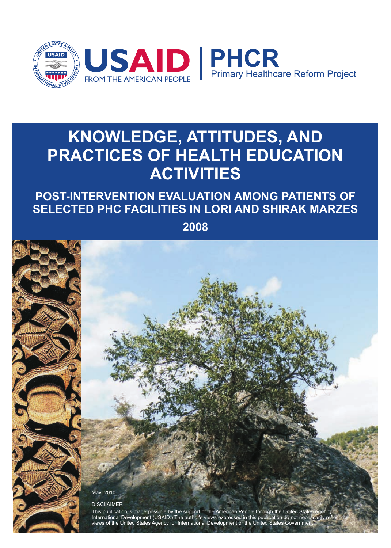

# **KNOWLEDGE, ATTITUDES, AND PRACTICES OF HEALTH EDUCATION ACTIVITIES**

# **POST-INTERVENTION EVALUATION AMONG PATIENTS OF SELECTED PHC FACILITIES IN LORI AND SHIRAK MARZES**

**2008**

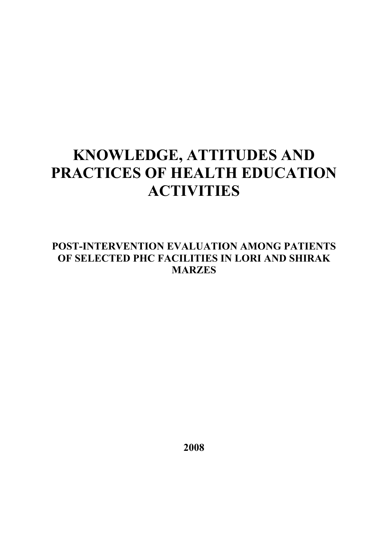# **KNOWLEDGE, ATTITUDES AND PRACTICES OF HEALTH EDUCATION ACTIVITIES**

# **POST-INTERVENTION EVALUATION AMONG PATIENTS OF SELECTED PHC FACILITIES IN LORI AND SHIRAK MARZES**

**2008**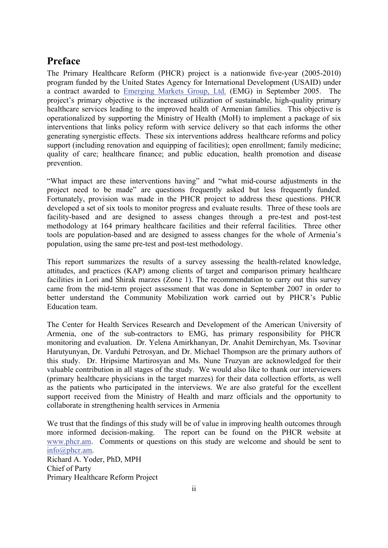## **Preface**

The Primary Healthcare Reform (PHCR) project is a nationwide five-year (2005-2010) program funded by the United States Agency for International Development (USAID) under a contract awarded to Emerging Markets Group, Ltd. (EMG) in September 2005. The project's primary objective is the increased utilization of sustainable, high-quality primary healthcare services leading to the improved health of Armenian families. This objective is operationalized by supporting the Ministry of Health (MoH) to implement a package of six interventions that links policy reform with service delivery so that each informs the other generating synergistic effects. These six interventions address healthcare reforms and policy support (including renovation and equipping of facilities); open enrollment; family medicine; quality of care; healthcare finance; and public education, health promotion and disease prevention.

"What impact are these interventions having" and "what mid-course adjustments in the project need to be made" are questions frequently asked but less frequently funded. Fortunately, provision was made in the PHCR project to address these questions. PHCR developed a set of six tools to monitor progress and evaluate results. Three of these tools are facility-based and are designed to assess changes through a pre-test and post-test methodology at 164 primary healthcare facilities and their referral facilities. Three other tools are population-based and are designed to assess changes for the whole of Armenia's population, using the same pre-test and post-test methodology.

This report summarizes the results of a survey assessing the health-related knowledge, attitudes, and practices (KAP) among clients of target and comparison primary healthcare facilities in Lori and Shirak marzes (Zone 1). The recommendation to carry out this survey came from the mid-term project assessment that was done in September 2007 in order to better understand the Community Mobilization work carried out by PHCR's Public Education team.

The Center for Health Services Research and Development of the American University of Armenia, one of the sub-contractors to EMG, has primary responsibility for PHCR monitoring and evaluation. Dr. Yelena Amirkhanyan, Dr. Anahit Demirchyan, Ms. Tsovinar Harutyunyan, Dr. Varduhi Petrosyan, and Dr. Michael Thompson are the primary authors of this study. Dr. Hripsime Martirosyan and Ms. Nune Truzyan are acknowledged for their valuable contribution in all stages of the study. We would also like to thank our interviewers (primary healthcare physicians in the target marzes) for their data collection efforts, as well as the patients who participated in the interviews. We are also grateful for the excellent support received from the Ministry of Health and marz officials and the opportunity to collaborate in strengthening health services in Armenia

We trust that the findings of this study will be of value in improving health outcomes through more informed decision-making. The report can be found on the PHCR website at www.phcr.am. Comments or questions on this study are welcome and should be sent to info@phcr.am. Richard A. Yoder, PhD, MPH Chief of Party Primary Healthcare Reform Project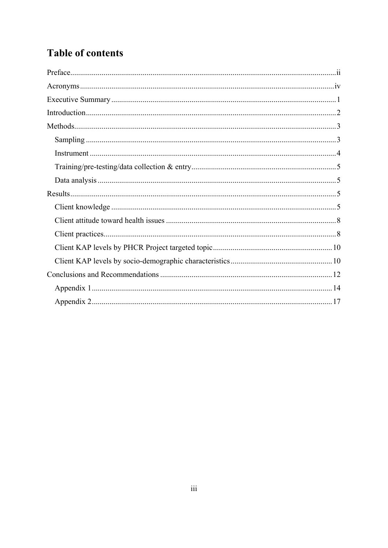# **Table of contents**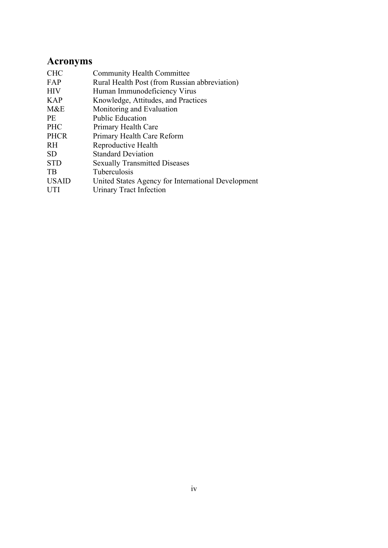# **Acronyms**

| <b>CHC</b>   | <b>Community Health Committee</b>                  |
|--------------|----------------------------------------------------|
| FAP          | Rural Health Post (from Russian abbreviation)      |
| <b>HIV</b>   | Human Immunodeficiency Virus                       |
| <b>KAP</b>   | Knowledge, Attitudes, and Practices                |
| M&E          | Monitoring and Evaluation                          |
| <b>PE</b>    | <b>Public Education</b>                            |
| <b>PHC</b>   | Primary Health Care                                |
| <b>PHCR</b>  | Primary Health Care Reform                         |
| RH           | Reproductive Health                                |
| <b>SD</b>    | <b>Standard Deviation</b>                          |
| <b>STD</b>   | <b>Sexually Transmitted Diseases</b>               |
| <b>TB</b>    | Tuberculosis                                       |
| <b>USAID</b> | United States Agency for International Development |
| <b>UTI</b>   | Urinary Tract Infection                            |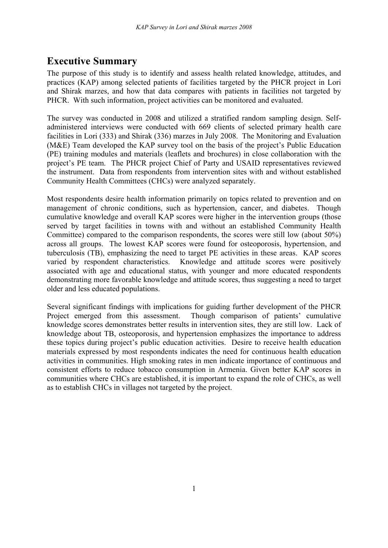# **Executive Summary**

The purpose of this study is to identify and assess health related knowledge, attitudes, and practices (KAP) among selected patients of facilities targeted by the PHCR project in Lori and Shirak marzes, and how that data compares with patients in facilities not targeted by PHCR. With such information, project activities can be monitored and evaluated.

The survey was conducted in 2008 and utilized a stratified random sampling design. Selfadministered interviews were conducted with 669 clients of selected primary health care facilities in Lori (333) and Shirak (336) marzes in July 2008. The Monitoring and Evaluation (M&E) Team developed the KAP survey tool on the basis of the project's Public Education (PE) training modules and materials (leaflets and brochures) in close collaboration with the project's PE team. The PHCR project Chief of Party and USAID representatives reviewed the instrument. Data from respondents from intervention sites with and without established Community Health Committees (CHCs) were analyzed separately.

Most respondents desire health information primarily on topics related to prevention and on management of chronic conditions, such as hypertension, cancer, and diabetes. Though cumulative knowledge and overall KAP scores were higher in the intervention groups (those served by target facilities in towns with and without an established Community Health Committee) compared to the comparison respondents, the scores were still low (about 50%) across all groups. The lowest KAP scores were found for osteoporosis, hypertension, and tuberculosis (TB), emphasizing the need to target PE activities in these areas. KAP scores varied by respondent characteristics. Knowledge and attitude scores were positively associated with age and educational status, with younger and more educated respondents demonstrating more favorable knowledge and attitude scores, thus suggesting a need to target older and less educated populations.

Several significant findings with implications for guiding further development of the PHCR Project emerged from this assessment. Though comparison of patients' cumulative knowledge scores demonstrates better results in intervention sites, they are still low. Lack of knowledge about TB, osteoporosis, and hypertension emphasizes the importance to address these topics during project's public education activities. Desire to receive health education materials expressed by most respondents indicates the need for continuous health education activities in communities. High smoking rates in men indicate importance of continuous and consistent efforts to reduce tobacco consumption in Armenia. Given better KAP scores in communities where CHCs are established, it is important to expand the role of CHCs, as well as to establish CHCs in villages not targeted by the project.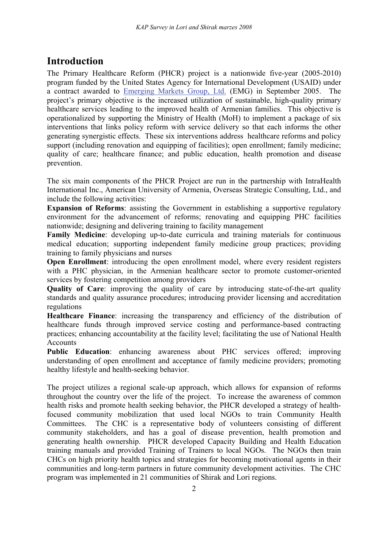# **Introduction**

The Primary Healthcare Reform (PHCR) project is a nationwide five-year (2005-2010) program funded by the United States Agency for International Development (USAID) under a contract awarded to Emerging Markets Group, Ltd. (EMG) in September 2005. The project's primary objective is the increased utilization of sustainable, high-quality primary healthcare services leading to the improved health of Armenian families. This objective is operationalized by supporting the Ministry of Health (MoH) to implement a package of six interventions that links policy reform with service delivery so that each informs the other generating synergistic effects. These six interventions address healthcare reforms and policy support (including renovation and equipping of facilities); open enrollment; family medicine; quality of care; healthcare finance; and public education, health promotion and disease prevention.

The six main components of the PHCR Project are run in the partnership with IntraHealth International Inc., American University of Armenia, Overseas Strategic Consulting, Ltd., and include the following activities:

**Expansion of Reforms**: assisting the Government in establishing a supportive regulatory environment for the advancement of reforms; renovating and equipping PHC facilities nationwide; designing and delivering training to facility management

**Family Medicine**: developing up-to-date curricula and training materials for continuous medical education; supporting independent family medicine group practices; providing training to family physicians and nurses

**Open Enrollment**: introducing the open enrollment model, where every resident registers with a PHC physician, in the Armenian healthcare sector to promote customer-oriented services by fostering competition among providers

**Quality of Care:** improving the quality of care by introducing state-of-the-art quality standards and quality assurance procedures; introducing provider licensing and accreditation regulations

**Healthcare Finance**: increasing the transparency and efficiency of the distribution of healthcare funds through improved service costing and performance-based contracting practices; enhancing accountability at the facility level; facilitating the use of National Health Accounts

**Public Education**: enhancing awareness about PHC services offered; improving understanding of open enrollment and acceptance of family medicine providers; promoting healthy lifestyle and health-seeking behavior.

The project utilizes a regional scale-up approach, which allows for expansion of reforms throughout the country over the life of the project. To increase the awareness of common health risks and promote health seeking behavior, the PHCR developed a strategy of healthfocused community mobilization that used local NGOs to train Community Health Committees. The CHC is a representative body of volunteers consisting of different community stakeholders, and has a goal of disease prevention, health promotion and generating health ownership. PHCR developed Capacity Building and Health Education training manuals and provided Training of Trainers to local NGOs. The NGOs then train CHCs on high priority health topics and strategies for becoming motivational agents in their communities and long-term partners in future community development activities. The CHC program was implemented in 21 communities of Shirak and Lori regions.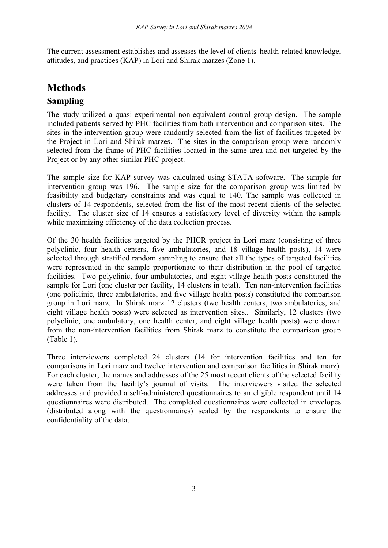The current assessment establishes and assesses the level of clients' health-related knowledge, attitudes, and practices (KAP) in Lori and Shirak marzes (Zone 1).

# **Methods**

## **Sampling**

The study utilized a quasi-experimental non-equivalent control group design. The sample included patients served by PHC facilities from both intervention and comparison sites. The sites in the intervention group were randomly selected from the list of facilities targeted by the Project in Lori and Shirak marzes. The sites in the comparison group were randomly selected from the frame of PHC facilities located in the same area and not targeted by the Project or by any other similar PHC project.

The sample size for KAP survey was calculated using STATA software. The sample for intervention group was 196. The sample size for the comparison group was limited by feasibility and budgetary constraints and was equal to 140. The sample was collected in clusters of 14 respondents, selected from the list of the most recent clients of the selected facility. The cluster size of 14 ensures a satisfactory level of diversity within the sample while maximizing efficiency of the data collection process.

Of the 30 health facilities targeted by the PHCR project in Lori marz (consisting of three polyclinic, four health centers, five ambulatories, and 18 village health posts), 14 were selected through stratified random sampling to ensure that all the types of targeted facilities were represented in the sample proportionate to their distribution in the pool of targeted facilities. Two polyclinic, four ambulatories, and eight village health posts constituted the sample for Lori (one cluster per facility, 14 clusters in total). Ten non-intervention facilities (one policlinic, three ambulatories, and five village health posts) constituted the comparison group in Lori marz. In Shirak marz 12 clusters (two health centers, two ambulatories, and eight village health posts) were selected as intervention sites.. Similarly, 12 clusters (two polyclinic, one ambulatory, one health center, and eight village health posts) were drawn from the non-intervention facilities from Shirak marz to constitute the comparison group (Table 1).

Three interviewers completed 24 clusters (14 for intervention facilities and ten for comparisons in Lori marz and twelve intervention and comparison facilities in Shirak marz). For each cluster, the names and addresses of the 25 most recent clients of the selected facility were taken from the facility's journal of visits. The interviewers visited the selected addresses and provided a self-administered questionnaires to an eligible respondent until 14 questionnaires were distributed. The completed questionnaires were collected in envelopes (distributed along with the questionnaires) sealed by the respondents to ensure the confidentiality of the data.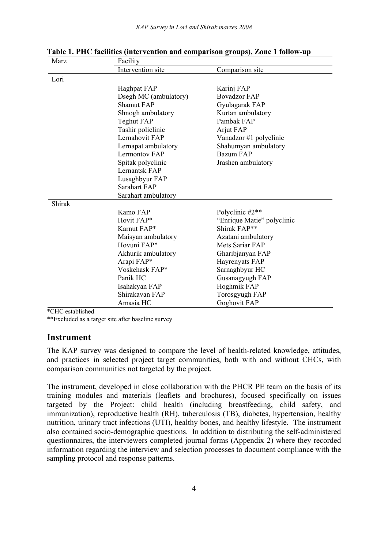| Marz   | Facility              |                            |  |  |  |  |
|--------|-----------------------|----------------------------|--|--|--|--|
|        | Intervention site     | Comparison site            |  |  |  |  |
| Lori   |                       |                            |  |  |  |  |
|        | Haghpat FAP           | Karinj FAP                 |  |  |  |  |
|        | Dsegh MC (ambulatory) | <b>Bovadzor FAP</b>        |  |  |  |  |
|        | Shamut FAP            | Gyulagarak FAP             |  |  |  |  |
|        | Shnogh ambulatory     | Kurtan ambulatory          |  |  |  |  |
|        | Teghut FAP            | Pambak FAP                 |  |  |  |  |
|        | Tashir policlinic     | Arjut FAP                  |  |  |  |  |
|        | Lernahovit FAP        | Vanadzor #1 polyclinic     |  |  |  |  |
|        | Lernapat ambulatory   | Shahumyan ambulatory       |  |  |  |  |
|        | Lermontov FAP         | Bazum FAP                  |  |  |  |  |
|        | Spitak polyclinic     | Jrashen ambulatory         |  |  |  |  |
|        | Lernantsk FAP         |                            |  |  |  |  |
|        | Lusaghbyur FAP        |                            |  |  |  |  |
|        | <b>Sarahart FAP</b>   |                            |  |  |  |  |
|        | Sarahart ambulatory   |                            |  |  |  |  |
| Shirak |                       |                            |  |  |  |  |
|        | Kamo FAP              | Polyclinic #2**            |  |  |  |  |
|        | Hovit FAP*            | "Enrique Matie" polyclinic |  |  |  |  |
|        | Karnut FAP*           | Shirak FAP**               |  |  |  |  |
|        | Maisyan ambulatory    | Azatani ambulatory         |  |  |  |  |
|        | Hovuni FAP*           | Mets Sariar FAP            |  |  |  |  |
|        | Akhurik ambulatory    | Gharibjanyan FAP           |  |  |  |  |
|        | Arapi FAP*            | Hayrenyats FAP             |  |  |  |  |
|        | Voskehask FAP*        | Sarnaghbyur HC             |  |  |  |  |
|        | Panik HC              | Gusanagyugh FAP            |  |  |  |  |
|        | Isahakyan FAP         | Hoghmik FAP                |  |  |  |  |
|        | Shirakavan FAP        | Torosgyugh FAP             |  |  |  |  |
|        | Amasia HC             | Goghovit FAP               |  |  |  |  |

**Table 1. PHC facilities (intervention and comparison groups), Zone 1 follow-up** 

\*CHC established

\*\*Excluded as a target site after baseline survey

#### **Instrument**

The KAP survey was designed to compare the level of health-related knowledge, attitudes, and practices in selected project target communities, both with and without CHCs, with comparison communities not targeted by the project.

The instrument, developed in close collaboration with the PHCR PE team on the basis of its training modules and materials (leaflets and brochures), focused specifically on issues targeted by the Project: child health (including breastfeeding, child safety, and immunization), reproductive health (RH), tuberculosis (TB), diabetes, hypertension, healthy nutrition, urinary tract infections (UTI), healthy bones, and healthy lifestyle. The instrument also contained socio-demographic questions. In addition to distributing the self-administered questionnaires, the interviewers completed journal forms (Appendix 2) where they recorded information regarding the interview and selection processes to document compliance with the sampling protocol and response patterns.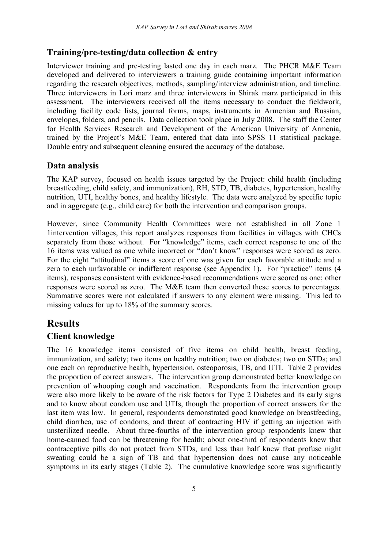### **Training/pre-testing/data collection & entry**

Interviewer training and pre-testing lasted one day in each marz. The PHCR M&E Team developed and delivered to interviewers a training guide containing important information regarding the research objectives, methods, sampling/interview administration, and timeline. Three interviewers in Lori marz and three interviewers in Shirak marz participated in this assessment. The interviewers received all the items necessary to conduct the fieldwork, including facility code lists, journal forms, maps, instruments in Armenian and Russian, envelopes, folders, and pencils. Data collection took place in July 2008. The staff the Center for Health Services Research and Development of the American University of Armenia, trained by the Project's M&E Team, entered that data into SPSS 11 statistical package. Double entry and subsequent cleaning ensured the accuracy of the database.

#### **Data analysis**

The KAP survey, focused on health issues targeted by the Project: child health (including breastfeeding, child safety, and immunization), RH, STD, TB, diabetes, hypertension, healthy nutrition, UTI, healthy bones, and healthy lifestyle. The data were analyzed by specific topic and in aggregate (e.g., child care) for both the intervention and comparison groups.

However, since Community Health Committees were not established in all Zone 1 1intervention villages, this report analyzes responses from facilities in villages with CHCs separately from those without. For "knowledge" items, each correct response to one of the 16 items was valued as one while incorrect or "don't know" responses were scored as zero. For the eight "attitudinal" items a score of one was given for each favorable attitude and a zero to each unfavorable or indifferent response (see Appendix 1). For "practice" items (4 items), responses consistent with evidence-based recommendations were scored as one; other responses were scored as zero. The M&E team then converted these scores to percentages. Summative scores were not calculated if answers to any element were missing. This led to missing values for up to 18% of the summary scores.

# **Results**

#### **Client knowledge**

The 16 knowledge items consisted of five items on child health, breast feeding, immunization, and safety; two items on healthy nutrition; two on diabetes; two on STDs; and one each on reproductive health, hypertension, osteoporosis, TB, and UTI. Table 2 provides the proportion of correct answers. The intervention group demonstrated better knowledge on prevention of whooping cough and vaccination. Respondents from the intervention group were also more likely to be aware of the risk factors for Type 2 Diabetes and its early signs and to know about condom use and UTIs, though the proportion of correct answers for the last item was low. In general, respondents demonstrated good knowledge on breastfeeding, child diarrhea, use of condoms, and threat of contracting HIV if getting an injection with unsterilized needle. About three-fourths of the intervention group respondents knew that home-canned food can be threatening for health; about one-third of respondents knew that contraceptive pills do not protect from STDs, and less than half knew that profuse night sweating could be a sign of TB and that hypertension does not cause any noticeable symptoms in its early stages (Table 2). The cumulative knowledge score was significantly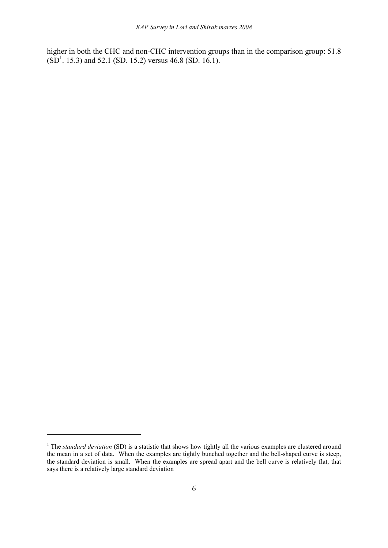higher in both the CHC and non-CHC intervention groups than in the comparison group: 51.8  $(SD<sup>1</sup>$ . 15.3) and 52.1 (SD. 15.2) versus 46.8 (SD. 16.1).

<u>.</u>

<sup>&</sup>lt;sup>1</sup> The *standard deviation* (SD) is a statistic that shows how tightly all the various examples are clustered around the mean in a set of data. When the examples are tightly bunched together and the bell-shaped curve is steep, the standard deviation is small. When the examples are spread apart and the bell curve is relatively flat, that says there is a relatively large standard deviation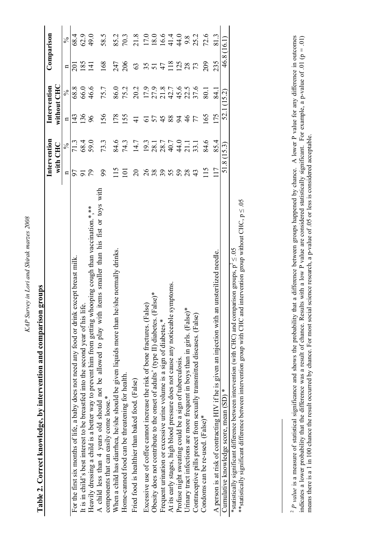| ć |                     |
|---|---------------------|
|   |                     |
|   |                     |
|   |                     |
|   | こじょうし<br>ì          |
|   |                     |
|   |                     |
|   |                     |
|   |                     |
|   | i                   |
|   |                     |
|   | $U_n$ in $\sigma b$ |
|   | i<br>D              |
|   |                     |
|   |                     |
|   | $\overline{u}$      |
|   |                     |
|   |                     |
|   | ייי יי              |
|   |                     |
|   | י<br>נ              |
|   |                     |
|   | Ξ                   |
|   | $\sim$              |
|   |                     |
|   | 2.14117             |
|   |                     |
|   |                     |
|   |                     |
|   |                     |
| ŗ |                     |
|   |                     |
|   |                     |
|   |                     |
|   |                     |
|   |                     |

|                                                                                                                                                      |                  | Intervention                                          |                | Intervention  |                        | Comparison                                              |
|------------------------------------------------------------------------------------------------------------------------------------------------------|------------------|-------------------------------------------------------|----------------|---------------|------------------------|---------------------------------------------------------|
|                                                                                                                                                      |                  | with CHC                                              |                | without CHC   |                        |                                                         |
|                                                                                                                                                      | $\mathbf{a}$     | $\frac{6}{6}$                                         | $\mathbf{a}$   | $\frac{5}{6}$ | n                      | $\frac{5}{6}$                                           |
| For the first six months of life, a baby does not need any food or drink except breast milk                                                          |                  | 71.3                                                  | 143            | 68.8          | ລັ                     | 68.4                                                    |
| It is in child's best interest to be breastfed into the second year of his life                                                                      |                  | 68.4                                                  | $\frac{36}{5}$ | 66.0          | 185                    | 62.9                                                    |
| Heavily dressing a child is a better way to prevent him from getting whooping cough than vaccination.*,**                                            | $\sqrt{2}$       | 59.0                                                  | 66             | 46.6          | $\overline{141}$       | 49.0                                                    |
| A child less than 4 years old should not be allowed to play with items smaller than his fist or toys with<br>components that can easily come loose.* | 99               | 73.3                                                  | 156            | 75.7          | 168                    | 58.5                                                    |
| When a child has diarrhea, he/she should be given liquids more than he/she normally drinks.                                                          | $\frac{5}{1}$    | 84.6                                                  | 178            | 86.0          | 247                    |                                                         |
| Home-canned food can be threatening for health.                                                                                                      | $\overline{101}$ | 74.3                                                  | 155            | 75.2          | 206                    | 85.2<br>70.3                                            |
| Fried food is healthier than baked food. (False)                                                                                                     | $\overline{c}$   | 14.7                                                  | $\frac{4}{5}$  | 20.2          | 63                     | 21.8                                                    |
| alse)<br>Excessive use of coffee cannot increase the risk of bone fractures. (F                                                                      |                  |                                                       | $\overline{6}$ |               | $\frac{55}{51}$        |                                                         |
| (False)*<br>Obesity does not contribute to the onset of adults' (type II) diabetes.                                                                  | 26               | $19.3$<br>$28.1$                                      |                |               |                        |                                                         |
| Frequent urination or excessive urine volume is a sign of diabetes.*                                                                                 |                  |                                                       |                |               |                        |                                                         |
| At its early stages, high blood pressure does not cause any noticeable symptoms.                                                                     | 355              | $28.7$<br>$49.1$<br>$41.3$<br>$7.5$<br>$1.5$<br>$1.5$ | 5488           |               | $47$<br>$118$<br>$125$ |                                                         |
| Profuse night sweating could be a sign of tuberculosis.                                                                                              | 59               |                                                       |                |               |                        |                                                         |
| Urinary tract infections are more frequent in boys than in girls. (False)*                                                                           | 28               |                                                       | 246            |               |                        |                                                         |
| Contraceptive pills protect from sexually transmitted diseases. (False)                                                                              | 43               |                                                       | 77             |               | 28                     | $17.0$<br>$18.0$<br>$16.4$<br>$44.0$<br>$8.2$<br>$25.2$ |
| Condoms can be re-used. (False)*                                                                                                                     | $\frac{5}{1}$    | 84.6                                                  | 65             | 80.1          | 209                    | 72.6                                                    |
| an unsterilized needle.<br>A person is at risk of contracting HIV if he is given an injection with                                                   | 117              | 85.4                                                  | 175            | $-84$         | 235                    |                                                         |
| Cumulative knowledge score, mean (SD) *                                                                                                              |                  | 51.8(15.3)                                            |                | 52.1 (15.2)   | 46.8 (16.1)            |                                                         |

**Table 2. Correct knowledge, by intervention and comparison groups**  Table 2. Correct knowledge, by intervention and comparison groups <sup>2</sup> P value is a measure of statistical significance and shows the probability that a difference between groups happened by chance. A lower P value for any difference in outcomes indicates a lower probability that the dif *P value* is a measure of statistical significance and shows the probability that a difference between groups happened by chance. A lower P value for any difference in outcomes indicates a lower probability that the difference was a result of chance. Results with a low P value are considered statistically significant. For example, a p-value of .01 (p = .01) means there is a 1 in 100 chance the result occurred by chance. For most social science research, a p-value of .05 or less is considered acceptable. means there is a 1 in 100 chance the result occurred by chance. For most social science research, a p-value of .05 or less is considered acceptable.

\*statistically significant difference between intervention (with CHC) and comparison groups,  $p^2 \leq 0.05$ 

\*statistically significant difference between intervention (with CHC) and comparison groups,  $p^2 \leq 05$ 

\*\*statistically significant difference between intervention group with CHC and intervention group without CHC, p ≤ .05

\*\* statistically significant difference between intervention group with CHC and intervention group without CHC,  $p \le 0.05$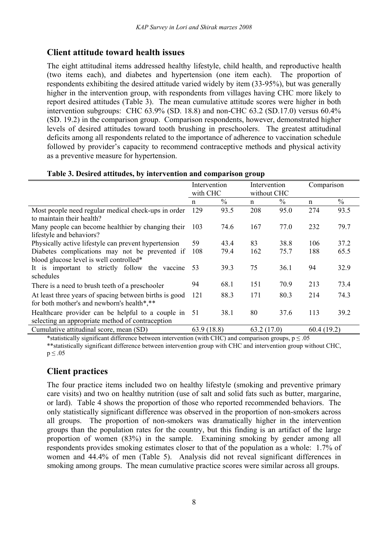## **Client attitude toward health issues**

The eight attitudinal items addressed healthy lifestyle, child health, and reproductive health (two items each), and diabetes and hypertension (one item each). The proportion of respondents exhibiting the desired attitude varied widely by item (33-95%), but was generally higher in the intervention group, with respondents from villages having CHC more likely to report desired attitudes (Table 3). The mean cumulative attitude scores were higher in both intervention subgroups: CHC 63.9% (SD. 18.8) and non-CHC 63.2 (SD.17.0) versus 60.4% (SD. 19.2) in the comparison group. Comparison respondents, however, demonstrated higher levels of desired attitudes toward tooth brushing in preschoolers. The greatest attitudinal deficits among all respondents related to the importance of adherence to vaccination schedule followed by provider's capacity to recommend contraceptive methods and physical activity as a preventive measure for hypertension.

|                                                                                                       | Intervention<br>with CHC |               | Intervention<br>without CHC |               | Comparison  |               |
|-------------------------------------------------------------------------------------------------------|--------------------------|---------------|-----------------------------|---------------|-------------|---------------|
|                                                                                                       | n                        | $\frac{0}{0}$ | n                           | $\frac{0}{0}$ | $\mathbf n$ | $\frac{0}{0}$ |
| Most people need regular medical check-ups in order<br>to maintain their health?                      | 129                      | 93.5          | 208                         | 95.0          | 274         | 93.5          |
| Many people can become healthier by changing their<br>lifestyle and behaviors?                        | 103                      | 74.6          | 167                         | 77.0          | 232         | 79.7          |
| Physically active lifestyle can prevent hypertension                                                  | 59                       | 43.4          | 83                          | 38.8          | 106         | 37.2          |
| Diabetes complications may not be prevented if<br>blood glucose level is well controlled*             | 108                      | 79.4          | 162                         | 75.7          | 188         | 65.5          |
| It is important to strictly follow the vaccine<br>schedules                                           | 53                       | 39.3          | 75                          | 36.1          | 94          | 32.9          |
| There is a need to brush teeth of a preschooler                                                       | 94                       | 68.1          | 151                         | 70.9          | 213         | 73.4          |
| At least three years of spacing between births is good<br>for both mother's and newborn's health*,**  | 121                      | 88.3          | 171                         | 80.3          | 214         | 74.3          |
| Healthcare provider can be helpful to a couple in<br>selecting an appropriate method of contraception | 51                       | 38.1          | 80                          | 37.6          | 113         | 39.2          |
| Cumulative attitudinal score, mean (SD)                                                               | 63.9(18.8)               |               | 63.2(17.0)                  |               | 60.4(19.2)  |               |

#### **Table 3. Desired attitudes, by intervention and comparison group**

\*statistically significant difference between intervention (with CHC) and comparison groups,  $p < 0.05$ \*\*statistically significant difference between intervention group with CHC and intervention group without CHC,  $p \leq .05$ 

## **Client practices**

The four practice items included two on healthy lifestyle (smoking and preventive primary care visits) and two on healthy nutrition (use of salt and solid fats such as butter, margarine, or lard). Table 4 shows the proportion of those who reported recommended behaviors. The only statistically significant difference was observed in the proportion of non-smokers across all groups. The proportion of non-smokers was dramatically higher in the intervention groups than the population rates for the country, but this finding is an artifact of the large proportion of women (83%) in the sample. Examining smoking by gender among all respondents provides smoking estimates closer to that of the population as a whole: 1.7% of women and 44.4% of men (Table 5). Analysis did not reveal significant differences in smoking among groups. The mean cumulative practice scores were similar across all groups.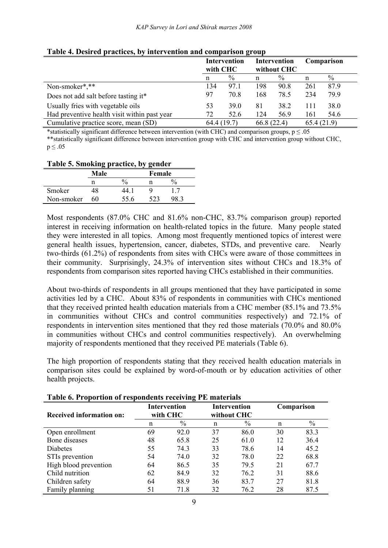|                                              | with CHC    | <b>Intervention</b> |            | Intervention<br>without CHC |            | Comparison    |
|----------------------------------------------|-------------|---------------------|------------|-----------------------------|------------|---------------|
|                                              | n           | $\%$                | n          | $\%$                        | n          | $\frac{0}{0}$ |
| Non-smoker*,**                               | 134         | 97.1                | 198        | 90.8                        | 261        | 87.9          |
| Does not add salt before tasting it*         | 97          | 70.8                | 168        | 78.5                        | 234        | 79.9          |
| Usually fries with vegetable oils            | 53          | <b>39.0</b>         | 81         | 38.2                        | 111        | 38.0          |
| Had preventive health visit within past year | 72          | 52.6                | 124        | 56.9                        | 161        | 54.6          |
| Cumulative practice score, mean (SD)         | 64.4 (19.7) |                     | 66.8(22.4) |                             | 65.4(21.9) |               |

#### **Table 4. Desired practices, by intervention and comparison group**

\*statistically significant difference between intervention (with CHC) and comparison groups,  $p \le 0.05$ \*\*statistically significant difference between intervention group with CHC and intervention group without CHC,  $p \leq .05$ 

| Table 5. Showing practice, by genuer |                |               |      |     |  |  |
|--------------------------------------|----------------|---------------|------|-----|--|--|
|                                      | Male<br>Female |               |      |     |  |  |
|                                      | n              | $\frac{0}{0}$ |      |     |  |  |
| Smoker                               | 48             | 44 1          |      |     |  |  |
| Non-smoker                           | 60             | 55.6          | 523. | 983 |  |  |

#### **Table 5. Smoking practice, by gender**

Most respondents (87.0% CHC and 81.6% non-CHC, 83.7% comparison group) reported interest in receiving information on health-related topics in the future. Many people stated they were interested in all topics. Among most frequently mentioned topics of interest were general health issues, hypertension, cancer, diabetes, STDs, and preventive care. Nearly two-thirds (61.2%) of respondents from sites with CHCs were aware of those committees in their community. Surprisingly, 24.3% of intervention sites without CHCs and 18.3% of respondents from comparison sites reported having CHCs established in their communities.

About two-thirds of respondents in all groups mentioned that they have participated in some activities led by a CHC. About 83% of respondents in communities with CHCs mentioned that they received printed health education materials from a CHC member (85.1% and 73.5% in communities without CHCs and control communities respectively) and 72.1% of respondents in intervention sites mentioned that they red those materials (70.0% and 80.0% in communities without CHCs and control communities respectively). An overwhelming majority of respondents mentioned that they received PE materials (Table 6).

The high proportion of respondents stating that they received health education materials in comparison sites could be explained by word-of-mouth or by education activities of other health projects.

| raoic of Froportion or respondents receiving FE materials |                                                                |      |    |      |            |      |  |  |
|-----------------------------------------------------------|----------------------------------------------------------------|------|----|------|------------|------|--|--|
| <b>Received information on:</b>                           | <b>Intervention</b><br>Intervention<br>with CHC<br>without CHC |      |    |      | Comparison |      |  |  |
|                                                           | n                                                              | $\%$ | n  | $\%$ | n          | $\%$ |  |  |
| Open enrollment                                           | 69                                                             | 92.0 | 37 | 86.0 | 30         | 83.3 |  |  |
| Bone diseases                                             | 48                                                             | 65.8 | 25 | 61.0 | 12         | 36.4 |  |  |
| Diabetes                                                  | 55                                                             | 74.3 | 33 | 78.6 | 14         | 45.2 |  |  |
| STIs prevention                                           | 54                                                             | 74.0 | 32 | 78.0 | 22         | 68.8 |  |  |
| High blood prevention                                     | 64                                                             | 86.5 | 35 | 79.5 | 21         | 67.7 |  |  |
| Child nutrition                                           | 62                                                             | 84.9 | 32 | 76.2 | 31         | 88.6 |  |  |
| Children safety                                           | 64                                                             | 88.9 | 36 | 83.7 | 27         | 81.8 |  |  |
| Family planning                                           | 51                                                             | 71.8 | 32 | 76.2 | 28         | 87.5 |  |  |

#### **Table 6. Proportion of respondents receiving PE materials**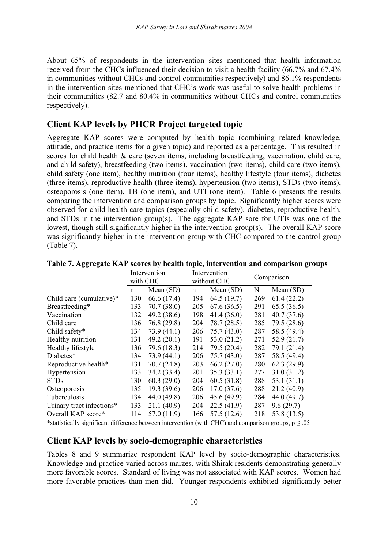About 65% of respondents in the intervention sites mentioned that health information received from the CHCs influenced their decision to visit a health facility (66.7% and 67.4% in communities without CHCs and control communities respectively) and 86.1% respondents in the intervention sites mentioned that CHC's work was useful to solve health problems in their communities (82.7 and 80.4% in communities without CHCs and control communities respectively).

## **Client KAP levels by PHCR Project targeted topic**

Aggregate KAP scores were computed by health topic (combining related knowledge, attitude, and practice items for a given topic) and reported as a percentage. This resulted in scores for child health & care (seven items, including breastfeeding, vaccination, child care, and child safety), breastfeeding (two items), vaccination (two items), child care (two items), child safety (one item), healthy nutrition (four items), healthy lifestyle (four items), diabetes (three items), reproductive health (three items), hypertension (two items), STDs (two items), osteoporosis (one item), TB (one item), and UTI (one item). Table 6 presents the results comparing the intervention and comparison groups by topic. Significantly higher scores were observed for child health care topics (especially child safety), diabetes, reproductive health, and STDs in the intervention group(s). The aggregate KAP sore for UTIs was one of the lowest, though still significantly higher in the intervention group(s). The overall KAP score was significantly higher in the intervention group with CHC compared to the control group (Table 7).

|                           | Intervention |             | Intervention |             | Comparison |             |
|---------------------------|--------------|-------------|--------------|-------------|------------|-------------|
|                           | with CHC     |             |              | without CHC |            |             |
|                           | n            | Mean $(SD)$ | n            | Mean $(SD)$ | N          | Mean $(SD)$ |
| Child care (cumulative)*  | 130          | 66.6 (17.4) | 194          | 64.5(19.7)  | 269        | 61.4(22.2)  |
| Breastfeeding*            | 133          | 70.7(38.0)  | 205          | 67.6(36.5)  | 291        | 65.5(36.5)  |
| Vaccination               | 132          | 49.2(38.6)  | 198          | 41.4(36.0)  | 281        | 40.7(37.6)  |
| Child care                | 136          | 76.8(29.8)  | 204          | 78.7(28.5)  | 285        | 79.5 (28.6) |
| Child safety*             | 134          | 73.9(44.1)  | 206          | 75.7(43.0)  | 287        | 58.5 (49.4) |
| Healthy nutrition         | 131          | 49.2(20.1)  | 191          | 53.0(21.2)  | 271        | 52.9(21.7)  |
| Healthy lifestyle         | 136          | 79.6 (18.3) | 214          | 79.5 (20.4) | 282        | 79.1 (21.4) |
| Diabetes*                 | 134          | 73.9(44.1)  | 206          | 75.7(43.0)  | 287        | 58.5 (49.4) |
| Reproductive health*      | 131          | 70.7(24.8)  | 203          | 66.2(27.0)  | 280        | 62.3(29.9)  |
| Hypertension              | 133          | 34.2 (33.4) | 201          | 35.3(33.1)  | 277        | 31.0(31.2)  |
| <b>STDs</b>               | 130          | 60.3(29.0)  | 204          | 60.5(31.8)  | 288        | 53.1(31.1)  |
| Osteoporosis              | 135          | 19.3(39.6)  | 206          | 17.0(37.6)  | 288        | 21.2(40.9)  |
| Tuberculosis              | 134          | 44.0 (49.8) | 206          | 45.6(49.9)  | 284        | 44.0 (49.7) |
| Urinary tract infections* | 133          | 21.1(40.9)  | 204          | 22.5(41.9)  | 287        | 9.6(29.7)   |
| Overall KAP score*        | 114          | 57.0 (11.9) | 166          | 57.5(12.6)  | 218        | 53.8 (13.5) |

**Table 7. Aggregate KAP scores by health topic, intervention and comparison groups** 

\*statistically significant difference between intervention (with CHC) and comparison groups,  $p \le 0.05$ 

#### **Client KAP levels by socio-demographic characteristics**

Tables 8 and 9 summarize respondent KAP level by socio-demographic characteristics. Knowledge and practice varied across marzes, with Shirak residents demonstrating generally more favorable scores. Standard of living was not associated with KAP scores. Women had more favorable practices than men did. Younger respondents exhibited significantly better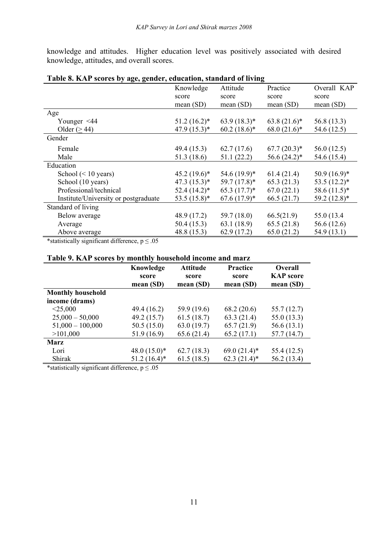knowledge and attitudes. Higher education level was positively associated with desired knowledge, attitudes, and overall scores.

| $\frac{1}{2}$ $\frac{1}{2}$ $\frac{1}{2}$ $\frac{1}{2}$ $\frac{1}{2}$ $\frac{1}{2}$ $\frac{1}{2}$ $\frac{1}{2}$ $\frac{1}{2}$ $\frac{1}{2}$ $\frac{1}{2}$ $\frac{1}{2}$ $\frac{1}{2}$ $\frac{1}{2}$ $\frac{1}{2}$ $\frac{1}{2}$ $\frac{1}{2}$ $\frac{1}{2}$ $\frac{1}{2}$ $\frac{1}{2}$ $\frac{1}{2}$ $\frac{1}{2}$ | Knowledge      | Attitude       | Practice       | Overall KAP    |
|---------------------------------------------------------------------------------------------------------------------------------------------------------------------------------------------------------------------------------------------------------------------------------------------------------------------|----------------|----------------|----------------|----------------|
|                                                                                                                                                                                                                                                                                                                     | score          | score          | score          | score          |
|                                                                                                                                                                                                                                                                                                                     | mean $(SD)$    | mean $(SD)$    | mean(SD)       | mean $(SD)$    |
| Age                                                                                                                                                                                                                                                                                                                 |                |                |                |                |
| Younger $\leq 44$                                                                                                                                                                                                                                                                                                   | $51.2(16.2)^*$ | $63.9(18.3)*$  | $63.8(21.6)^*$ | 56.8 (13.3)    |
| Older ( $\geq$ 44)                                                                                                                                                                                                                                                                                                  | $47.9(15.3)*$  | $60.2(18.6)^*$ | $68.0(21.6)^*$ | 54.6 (12.5)    |
| Gender                                                                                                                                                                                                                                                                                                              |                |                |                |                |
| Female                                                                                                                                                                                                                                                                                                              | 49.4(15.3)     | 62.7(17.6)     | $67.7(20.3)*$  | 56.0(12.5)     |
| Male                                                                                                                                                                                                                                                                                                                | 51.3(18.6)     | 51.1(22.2)     | $56.6(24.2)^*$ | 54.6 (15.4)    |
| Education                                                                                                                                                                                                                                                                                                           |                |                |                |                |
| School $(< 10$ years)                                                                                                                                                                                                                                                                                               | $45.2(19.6)^*$ | $54.6(19.9)^*$ | 61.4(21.4)     | $50.9(16.9)*$  |
| School (10 years)                                                                                                                                                                                                                                                                                                   | $47.3(15.3)*$  | $59.7(17.8)^*$ | 65.3(21.3)     | $53.5(12.2)^*$ |
| Professional/technical                                                                                                                                                                                                                                                                                              | $52.4(14.2)^*$ | $65.3(17.7)^*$ | 67.0(22.1)     | $58.6(11.5)^*$ |
| Institute/University or postgraduate                                                                                                                                                                                                                                                                                | $53.5(15.8)^*$ | $67.6(17.9)*$  | 66.5(21.7)     | 59.2 (12.8)*   |
| Standard of living                                                                                                                                                                                                                                                                                                  |                |                |                |                |
| Below average                                                                                                                                                                                                                                                                                                       | 48.9 (17.2)    | 59.7(18.0)     | 66.5(21.9)     | 55.0 (13.4)    |
| Average                                                                                                                                                                                                                                                                                                             | 50.4(15.3)     | 63.1(18.9)     | 65.5(21.8)     | 56.6 (12.6)    |
| Above average                                                                                                                                                                                                                                                                                                       | 48.8 (15.3)    | 62.9(17.2)     | 65.0(21.2)     | 54.9 (13.1)    |

#### **Table 8. KAP scores by age, gender, education, standard of living**

\*statistically significant difference,  $p \le 0.05$ 

#### **Table 9. KAP scores by monthly household income and marz**

|                          | Knowledge<br>score<br>mean $(SD)$ | <b>Attitude</b><br>score<br>mean $(SD)$ | <b>Practice</b><br>score<br>mean(SD) | <b>Overall</b><br><b>KAP</b> score<br>mean $(SD)$ |
|--------------------------|-----------------------------------|-----------------------------------------|--------------------------------------|---------------------------------------------------|
| <b>Monthly household</b> |                                   |                                         |                                      |                                                   |
| income (drams)           |                                   |                                         |                                      |                                                   |
| $<$ 25,000               | 49.4 (16.2)                       | 59.9 (19.6)                             | 68.2(20.6)                           | 55.7(12.7)                                        |
| $25,000 - 50,000$        | 49.2(15.7)                        | 61.5(18.7)                              | 63.3(21.4)                           | 55.0(13.3)                                        |
| $51,000 - 100,000$       | 50.5(15.0)                        | 63.0(19.7)                              | 65.7(21.9)                           | 56.6(13.1)                                        |
| >101,000                 | 51.9 (16.9)                       | 65.6(21.4)                              | 65.2(17.1)                           | 57.7 (14.7)                                       |
| <b>Marz</b>              |                                   |                                         |                                      |                                                   |
| Lori                     | 48.0 $(15.0)^*$                   | 62.7(18.3)                              | $69.0(21.4)^*$                       | 55.4 (12.5)                                       |
| Shirak                   | $51.2(16.4)$ *                    | 61.5(18.5)                              | $62.3(21.4)$ *                       | 56.2 (13.4)                                       |

\*statistically significant difference,  $p \le 0.05$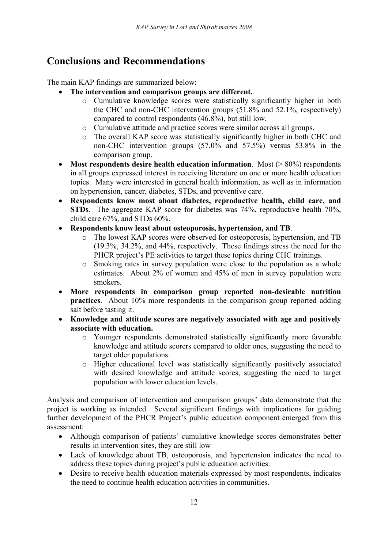# **Conclusions and Recommendations**

The main KAP findings are summarized below:

- **The intervention and comparison groups are different.** 
	- o Cumulative knowledge scores were statistically significantly higher in both the CHC and non-CHC intervention groups (51.8% and 52.1%, respectively) compared to control respondents (46.8%), but still low.
	- o Cumulative attitude and practice scores were similar across all groups.
	- o The overall KAP score was statistically significantly higher in both CHC and non-CHC intervention groups (57.0% and 57.5%) versus 53.8% in the comparison group.
- Most respondents desire health education information. Most (> 80%) respondents in all groups expressed interest in receiving literature on one or more health education topics. Many were interested in general health information, as well as in information on hypertension, cancer, diabetes, STDs, and preventive care.
- **Respondents know most about diabetes, reproductive health, child care, and STDs**. The aggregate KAP score for diabetes was 74%, reproductive health 70%, child care 67%, and STDs 60%.
- **Respondents know least about osteoporosis, hypertension, and TB**.
	- o The lowest KAP scores were observed for osteoporosis, hypertension, and TB (19.3%, 34.2%, and 44%, respectively. These findings stress the need for the PHCR project's PE activities to target these topics during CHC trainings.
	- o Smoking rates in survey population were close to the population as a whole estimates. About 2% of women and 45% of men in survey population were smokers.
- **More respondents in comparison group reported non-desirable nutrition practices**. About 10% more respondents in the comparison group reported adding salt before tasting it.
- **Knowledge and attitude scores are negatively associated with age and positively associate with education.** 
	- o Younger respondents demonstrated statistically significantly more favorable knowledge and attitude scorers compared to older ones, suggesting the need to target older populations.
	- o Higher educational level was statistically significantly positively associated with desired knowledge and attitude scores, suggesting the need to target population with lower education levels.

Analysis and comparison of intervention and comparison groups' data demonstrate that the project is working as intended. Several significant findings with implications for guiding further development of the PHCR Project's public education component emerged from this assessment:

- Although comparison of patients' cumulative knowledge scores demonstrates better results in intervention sites, they are still low
- Lack of knowledge about TB, osteoporosis, and hypertension indicates the need to address these topics during project's public education activities.
- Desire to receive health education materials expressed by most respondents, indicates the need to continue health education activities in communities.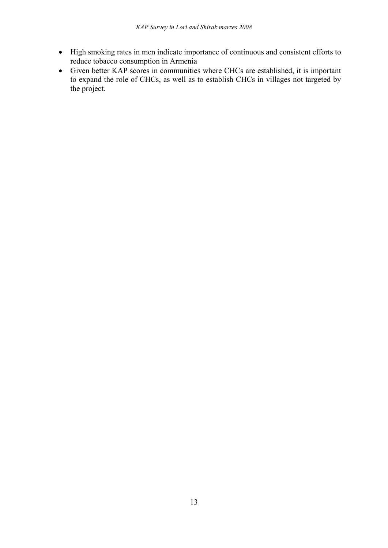- High smoking rates in men indicate importance of continuous and consistent efforts to reduce tobacco consumption in Armenia
- Given better KAP scores in communities where CHCs are established, it is important to expand the role of CHCs, as well as to establish CHCs in villages not targeted by the project.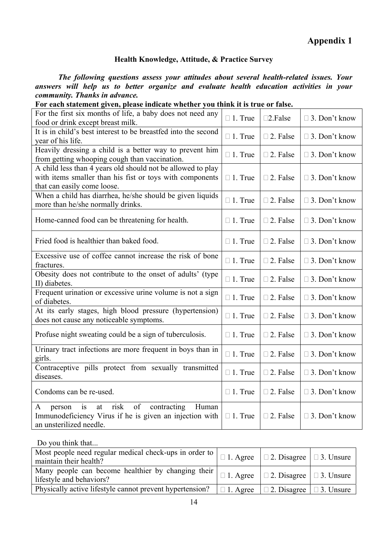#### **Health Knowledge, Attitude, & Practice Survey**

 *The following questions assess your attitudes about several health-related issues. Your answers will help us to better organize and evaluate health education activities in your community. Thanks in advance.* 

| For the first six months of life, a baby does not need any<br>food or drink except breast milk.                                                                 | $\Box$ 1. True | $\square$ 2. False | $\Box$ 3. Don't know |
|-----------------------------------------------------------------------------------------------------------------------------------------------------------------|----------------|--------------------|----------------------|
| It is in child's best interest to be breastfed into the second<br>year of his life.                                                                             | $\Box$ 1. True | $\square$ 2. False | $\Box$ 3. Don't know |
| Heavily dressing a child is a better way to prevent him<br>from getting whooping cough than vaccination.                                                        | $\Box$ 1. True | $\square$ 2. False | $\Box$ 3. Don't know |
| A child less than 4 years old should not be allowed to play<br>with items smaller than his fist or toys with components<br>that can easily come loose.          | $\Box$ 1. True | $\square$ 2. False | $\Box$ 3. Don't know |
| When a child has diarrhea, he/she should be given liquids<br>more than he/she normally drinks.                                                                  | $\Box$ 1. True | $\square$ 2. False | $\Box$ 3. Don't know |
| Home-canned food can be threatening for health.                                                                                                                 | $\Box$ 1. True | $\square$ 2. False | $\Box$ 3. Don't know |
| Fried food is healthier than baked food.                                                                                                                        | $\Box$ 1. True | $\square$ 2. False | $\Box$ 3. Don't know |
| Excessive use of coffee cannot increase the risk of bone<br>fractures.                                                                                          | $\Box$ 1. True | $\square$ 2. False | $\Box$ 3. Don't know |
| Obesity does not contribute to the onset of adults' (type<br>II) diabetes.                                                                                      | $\Box$ 1. True | $\square$ 2. False | $\Box$ 3. Don't know |
| Frequent urination or excessive urine volume is not a sign<br>of diabetes.                                                                                      | $\Box$ 1. True | $\square$ 2. False | $\Box$ 3. Don't know |
| At its early stages, high blood pressure (hypertension)<br>does not cause any noticeable symptoms.                                                              | $\Box$ 1. True | $\square$ 2. False | $\Box$ 3. Don't know |
| Profuse night sweating could be a sign of tuberculosis.                                                                                                         | $\Box$ 1. True | □ 2. False         | $\Box$ 3. Don't know |
| Urinary tract infections are more frequent in boys than in<br>girls.                                                                                            | $\Box$ 1. True | $\square$ 2. False | $\Box$ 3. Don't know |
| Contraceptive pills protect from sexually transmitted<br>diseases.                                                                                              | $\Box$ 1. True | □ 2. False         | $\Box$ 3. Don't know |
| Condoms can be re-used.                                                                                                                                         | $\Box$ 1. True | $\square$ 2. False | $\Box$ 3. Don't know |
| risk<br>of<br>at<br>contracting<br>Human<br>A<br>$\overline{1}$<br>person<br>Immunodeficiency Virus if he is given an injection with<br>an unsterilized needle. | $\Box$ 1. True | $\Box$ 2. False    | $\Box$ 3. Don't know |

|  | For each statement given, please indicate whether you think it is true or false. |
|--|----------------------------------------------------------------------------------|

Do you think that...

| Most people need regular medical check-ups in order to $\vert \Box 1$ . Agree $\vert \Box 2$ . Disagree $\vert \Box 3$ . Unsure<br>maintain their health?        |  |  |
|------------------------------------------------------------------------------------------------------------------------------------------------------------------|--|--|
| Many people can become healthier by changing their $\Big  \square 1$ . Agree $\Big  \square 2$ . Disagree $\Big  \square 3$ . Unsure<br>lifestyle and behaviors? |  |  |
| Physically active lifestyle cannot prevent hypertension? $\Box$ 1. Agree $\Box$ 2. Disagree $\Box$ 3. Unsure                                                     |  |  |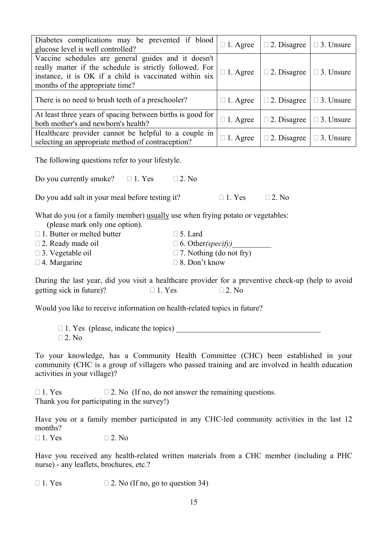| glucose level is well controlled?                                                                                                                    | Diabetes complications may be prevented if blood                                                                                                                                                  | $\Box$ 1. Agree | $\Box$ 2. Disagree | $\Box$ 3. Unsure |  |  |  |  |  |  |  |  |  |
|------------------------------------------------------------------------------------------------------------------------------------------------------|---------------------------------------------------------------------------------------------------------------------------------------------------------------------------------------------------|-----------------|--------------------|------------------|--|--|--|--|--|--|--|--|--|
| months of the appropriate time?                                                                                                                      | Vaccine schedules are general guides and it doesn't<br>really matter if the schedule is strictly followed. For<br>instance, it is OK if a child is vaccinated within six                          | $\Box$ 1. Agree | $\Box$ 2. Disagree | $\Box$ 3. Unsure |  |  |  |  |  |  |  |  |  |
|                                                                                                                                                      | There is no need to brush teeth of a preschooler?                                                                                                                                                 | $\Box$ 1. Agree | $\Box$ 2. Disagree | $\Box$ 3. Unsure |  |  |  |  |  |  |  |  |  |
| both mother's and newborn's health?                                                                                                                  | At least three years of spacing between births is good for                                                                                                                                        | $\Box$ 1. Agree | $\Box$ 2. Disagree | $\Box$ 3. Unsure |  |  |  |  |  |  |  |  |  |
|                                                                                                                                                      | Healthcare provider cannot be helpful to a couple in<br>selecting an appropriate method of contraception?                                                                                         | $\Box$ 1. Agree | $\Box$ 2. Disagree | $\Box$ 3. Unsure |  |  |  |  |  |  |  |  |  |
|                                                                                                                                                      | The following questions refer to your lifestyle.                                                                                                                                                  |                 |                    |                  |  |  |  |  |  |  |  |  |  |
| Do you currently smoke? $\Box$ 1. Yes                                                                                                                | $\Box$ 2. No                                                                                                                                                                                      |                 |                    |                  |  |  |  |  |  |  |  |  |  |
|                                                                                                                                                      | Do you add salt in your meal before testing it?                                                                                                                                                   | $\Box$ 1. Yes   | $\Box$ 2. No       |                  |  |  |  |  |  |  |  |  |  |
| (please mark only one option).<br>$\Box$ 1. Butter or melted butter<br>$\Box$ 2. Ready made oil<br>$\square$ 3. Vegetable oil<br>$\Box$ 4. Margarine | What do you (or a family member) usually use when frying potato or vegetables:<br>$\square$ 5. Lard<br>$\Box$ 6. Other <i>(specify)</i><br>$\Box$ 7. Nothing (do not fry)<br>$\Box$ 8. Don't know |                 |                    |                  |  |  |  |  |  |  |  |  |  |
| getting sick in future)?                                                                                                                             | During the last year, did you visit a healthcare provider for a preventive check-up (help to avoid<br>$\Box$ 1. Yes                                                                               | $\Box$ 2. No    |                    |                  |  |  |  |  |  |  |  |  |  |
|                                                                                                                                                      | Would you like to receive information on health-related topics in future?                                                                                                                         |                 |                    |                  |  |  |  |  |  |  |  |  |  |
| $\Box$ 1. Yes (please, indicate the topics)<br>$\Box$ 2. No                                                                                          |                                                                                                                                                                                                   |                 |                    |                  |  |  |  |  |  |  |  |  |  |
| activities in your village)?                                                                                                                         | To your knowledge, has a Community Health Committee (CHC) been established in your<br>community (CHC is a group of villagers who passed training and are involved in health education             |                 |                    |                  |  |  |  |  |  |  |  |  |  |
| $\Box$ 1. Yes                                                                                                                                        | $\Box$ 2. No (If no, do not answer the remaining questions.<br>Thank you for participating in the survey!)                                                                                        |                 |                    |                  |  |  |  |  |  |  |  |  |  |
| months?                                                                                                                                              | Have you or a family member participated in any CHC-led community activities in the last 12                                                                                                       |                 |                    |                  |  |  |  |  |  |  |  |  |  |
| $\Box$ 1. Yes                                                                                                                                        | $\square$ 2. No                                                                                                                                                                                   |                 |                    |                  |  |  |  |  |  |  |  |  |  |
| nurse) - any leaflets, brochures, etc.?                                                                                                              | Have you received any health-related written materials from a CHC member (including a PHC                                                                                                         |                 |                    |                  |  |  |  |  |  |  |  |  |  |
| $\Box$ 1. Yes                                                                                                                                        | $\Box$ 2. No (If no, go to question 34)                                                                                                                                                           |                 |                    |                  |  |  |  |  |  |  |  |  |  |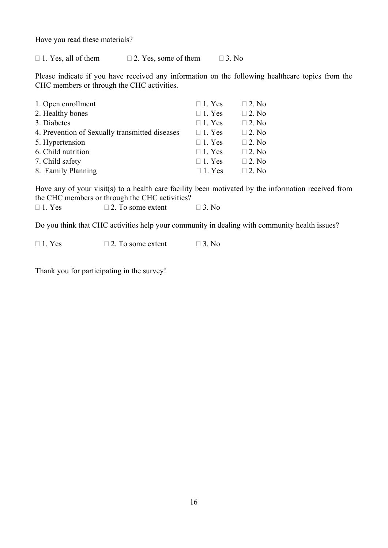Have you read these materials?

 $\Box$  1. Yes, all of them  $\Box$  2. Yes, some of them  $\Box$  3. No

Please indicate if you have received any information on the following healthcare topics from the CHC members or through the CHC activities.

| 1. Open enrollment                             | $\Box$ 1. Yes | $\Box$ 2. No |
|------------------------------------------------|---------------|--------------|
| 2. Healthy bones                               | $\Box$ 1. Yes | $\Box$ 2. No |
| 3. Diabetes                                    | $\Box$ 1. Yes | $\Box$ 2. No |
| 4. Prevention of Sexually transmitted diseases | $\Box$ 1. Yes | $\Box$ 2. No |
| 5. Hypertension                                | $\Box$ 1. Yes | $\Box$ 2. No |
| 6. Child nutrition                             | $\Box$ 1. Yes | $\Box$ 2. No |
| 7. Child safety                                | $\Box$ 1. Yes | $\Box$ 2. No |
| 8. Family Planning                             | $\Box$ 1. Yes | $\Box$ 2. No |

Have any of your visit(s) to a health care facility been motivated by the information received from the CHC members or through the CHC activities?

| $\Box$ 1. Yes | $\Box$ 2. To some extent | $\Box$ 3. No |
|---------------|--------------------------|--------------|
|               |                          |              |

Do you think that CHC activities help your community in dealing with community health issues?

 $\Box$  1. Yes  $\Box$  2. To some extent  $\Box$  3. No

Thank you for participating in the survey!